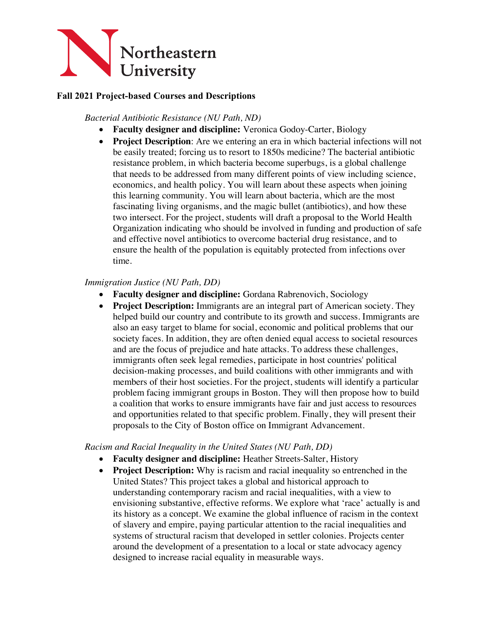

## **Fall 2021 Project-based Courses and Descriptions**

*Bacterial Antibiotic Resistance (NU Path, ND)*

- **Faculty designer and discipline:** Veronica Godoy-Carter, Biology
- **Project Description**: Are we entering an era in which bacterial infections will not be easily treated; forcing us to resort to 1850s medicine? The bacterial antibiotic resistance problem, in which bacteria become superbugs, is a global challenge that needs to be addressed from many different points of view including science, economics, and health policy. You will learn about these aspects when joining this learning community. You will learn about bacteria, which are the most fascinating living organisms, and the magic bullet (antibiotics), and how these two intersect. For the project, students will draft a proposal to the World Health Organization indicating who should be involved in funding and production of safe and effective novel antibiotics to overcome bacterial drug resistance, and to ensure the health of the population is equitably protected from infections over time.

### *Immigration Justice (NU Path, DD)*

- **Faculty designer and discipline:** Gordana Rabrenovich, Sociology
- **Project Description:** Immigrants are an integral part of American society. They helped build our country and contribute to its growth and success. Immigrants are also an easy target to blame for social, economic and political problems that our society faces. In addition, they are often denied equal access to societal resources and are the focus of prejudice and hate attacks. To address these challenges, immigrants often seek legal remedies, participate in host countries' political decision-making processes, and build coalitions with other immigrants and with members of their host societies. For the project, students will identify a particular problem facing immigrant groups in Boston. They will then propose how to build a coalition that works to ensure immigrants have fair and just access to resources and opportunities related to that specific problem. Finally, they will present their proposals to the City of Boston office on Immigrant Advancement.

### *Racism and Racial Inequality in the United States (NU Path, DD)*

- **Faculty designer and discipline:** Heather Streets-Salter, History
- **Project Description:** Why is racism and racial inequality so entrenched in the United States? This project takes a global and historical approach to understanding contemporary racism and racial inequalities, with a view to envisioning substantive, effective reforms. We explore what 'race' actually is and its history as a concept. We examine the global influence of racism in the context of slavery and empire, paying particular attention to the racial inequalities and systems of structural racism that developed in settler colonies. Projects center around the development of a presentation to a local or state advocacy agency designed to increase racial equality in measurable ways.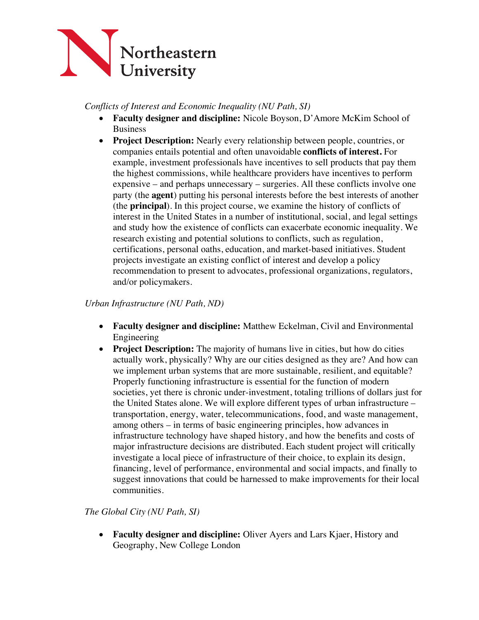

*Conflicts of Interest and Economic Inequality (NU Path, SI)*

- **Faculty designer and discipline:** Nicole Boyson, D'Amore McKim School of Business
- **Project Description:** Nearly every relationship between people, countries, or companies entails potential and often unavoidable **conflicts of interest.** For example, investment professionals have incentives to sell products that pay them the highest commissions, while healthcare providers have incentives to perform expensive – and perhaps unnecessary – surgeries. All these conflicts involve one party (the **agent**) putting his personal interests before the best interests of another (the **principal**). In this project course, we examine the history of conflicts of interest in the United States in a number of institutional, social, and legal settings and study how the existence of conflicts can exacerbate economic inequality. We research existing and potential solutions to conflicts, such as regulation, certifications, personal oaths, education, and market-based initiatives. Student projects investigate an existing conflict of interest and develop a policy recommendation to present to advocates, professional organizations, regulators, and/or policymakers.

*Urban Infrastructure (NU Path, ND)*

- **Faculty designer and discipline:** Matthew Eckelman, Civil and Environmental Engineering
- **Project Description:** The majority of humans live in cities, but how do cities actually work, physically? Why are our cities designed as they are? And how can we implement urban systems that are more sustainable, resilient, and equitable? Properly functioning infrastructure is essential for the function of modern societies, yet there is chronic under-investment, totaling trillions of dollars just for the United States alone. We will explore different types of urban infrastructure – transportation, energy, water, telecommunications, food, and waste management, among others – in terms of basic engineering principles, how advances in infrastructure technology have shaped history, and how the benefits and costs of major infrastructure decisions are distributed. Each student project will critically investigate a local piece of infrastructure of their choice, to explain its design, financing, level of performance, environmental and social impacts, and finally to suggest innovations that could be harnessed to make improvements for their local communities.

*The Global City (NU Path, SI)*

• **Faculty designer and discipline:** Oliver Ayers and Lars Kjaer, History and Geography, New College London